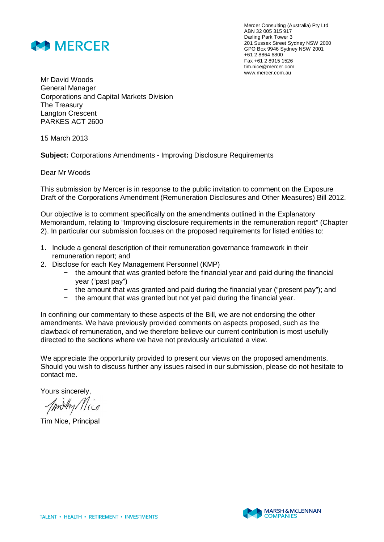

Mercer Consulting (Australia) Pty Ltd ABN 32 005 315 917 Darling Park Tower 3 201 Sussex Street Sydney NSW 2000 GPO Box 9946 Sydney NSW 2001 +61 2 8864 6800 Fax +61 2 8915 1526 tim.nice@mercer.com www.mercer.com.au

Mr David Woods General Manager Corporations and Capital Markets Division The Treasury Langton Crescent PARKES ACT 2600

15 March 2013

**Subject:** Corporations Amendments - Improving Disclosure Requirements

Dear Mr Woods

This submission by Mercer is in response to the public invitation to comment on the Exposure Draft of the Corporations Amendment (Remuneration Disclosures and Other Measures) Bill 2012.

Our objective is to comment specifically on the amendments outlined in the Explanatory Memorandum, relating to "Improving disclosure requirements in the remuneration report" (Chapter 2). In particular our submission focuses on the proposed requirements for listed entities to:

- 1. Include a general description of their remuneration governance framework in their remuneration report; and
- 2. Disclose for each Key Management Personnel (KMP)
	- í the amount that was granted before the financial year and paid during the financial year ("past pay")
	- the amount that was granted and paid during the financial year ("present pay"); and
	- the amount that was granted but not yet paid during the financial year.

In confining our commentary to these aspects of the Bill, we are not endorsing the other amendments. We have previously provided comments on aspects proposed, such as the clawback of remuneration, and we therefore believe our current contribution is most usefully directed to the sections where we have not previously articulated a view.

We appreciate the opportunity provided to present our views on the proposed amendments. Should you wish to discuss further any issues raised in our submission, please do not hesitate to contact me.

Yours sincerely,

Tim Nice, Principal

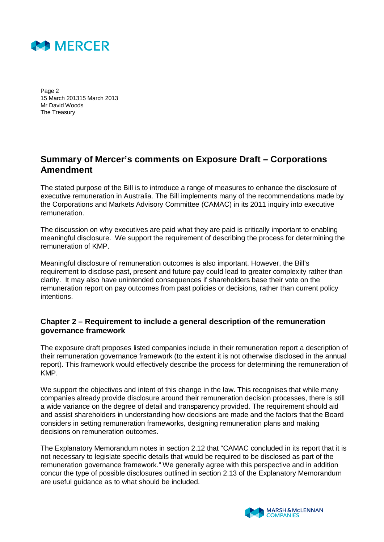

Page 2 15 March 201315 March 2013 Mr David Woods The Treasury

## **Summary of Mercer's comments on Exposure Draft – Corporations Amendment**

The stated purpose of the Bill is to introduce a range of measures to enhance the disclosure of executive remuneration in Australia. The Bill implements many of the recommendations made by the Corporations and Markets Advisory Committee (CAMAC) in its 2011 inquiry into executive remuneration.

The discussion on why executives are paid what they are paid is critically important to enabling meaningful disclosure. We support the requirement of describing the process for determining the remuneration of KMP.

Meaningful disclosure of remuneration outcomes is also important. However, the Bill's requirement to disclose past, present and future pay could lead to greater complexity rather than clarity. It may also have unintended consequences if shareholders base their vote on the remuneration report on pay outcomes from past policies or decisions, rather than current policy intentions.

#### **Chapter 2 – Requirement to include a general description of the remuneration governance framework**

The exposure draft proposes listed companies include in their remuneration report a description of their remuneration governance framework (to the extent it is not otherwise disclosed in the annual report). This framework would effectively describe the process for determining the remuneration of KMP.

We support the objectives and intent of this change in the law. This recognises that while many companies already provide disclosure around their remuneration decision processes, there is still a wide variance on the degree of detail and transparency provided. The requirement should aid and assist shareholders in understanding how decisions are made and the factors that the Board considers in setting remuneration frameworks, designing remuneration plans and making decisions on remuneration outcomes.

The Explanatory Memorandum notes in section 2.12 that "CAMAC concluded in its report that it is not necessary to legislate specific details that would be required to be disclosed as part of the remuneration governance framework." We generally agree with this perspective and in addition concur the type of possible disclosures outlined in section 2.13 of the Explanatory Memorandum are useful guidance as to what should be included.

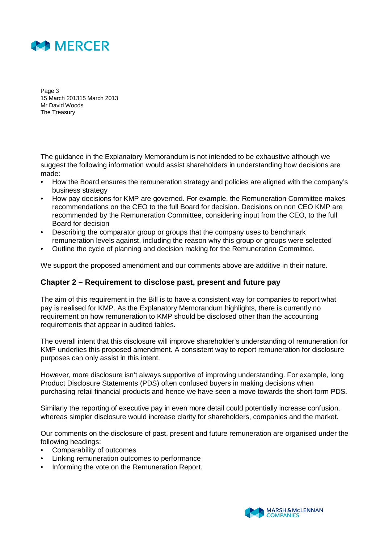

Page 3 15 March 201315 March 2013 Mr David Woods The Treasury

The guidance in the Explanatory Memorandum is not intended to be exhaustive although we suggest the following information would assist shareholders in understanding how decisions are made:

- How the Board ensures the remuneration strategy and policies are aligned with the company's business strategy
- How pay decisions for KMP are governed. For example, the Remuneration Committee makes recommendations on the CEO to the full Board for decision. Decisions on non CEO KMP are recommended by the Remuneration Committee, considering input from the CEO, to the full Board for decision
- Describing the comparator group or groups that the company uses to benchmark remuneration levels against, including the reason why this group or groups were selected
- Outline the cycle of planning and decision making for the Remuneration Committee.

We support the proposed amendment and our comments above are additive in their nature.

#### **Chapter 2 – Requirement to disclose past, present and future pay**

The aim of this requirement in the Bill is to have a consistent way for companies to report what pay is realised for KMP. As the Explanatory Memorandum highlights, there is currently no requirement on how remuneration to KMP should be disclosed other than the accounting requirements that appear in audited tables.

The overall intent that this disclosure will improve shareholder's understanding of remuneration for KMP underlies this proposed amendment. A consistent way to report remuneration for disclosure purposes can only assist in this intent.

However, more disclosure isn't always supportive of improving understanding. For example, long Product Disclosure Statements (PDS) often confused buyers in making decisions when purchasing retail financial products and hence we have seen a move towards the short-form PDS.

Similarly the reporting of executive pay in even more detail could potentially increase confusion, whereas simpler disclosure would increase clarity for shareholders, companies and the market.

Our comments on the disclosure of past, present and future remuneration are organised under the following headings:

- Comparability of outcomes
- Linking remuneration outcomes to performance
- Informing the vote on the Remuneration Report.

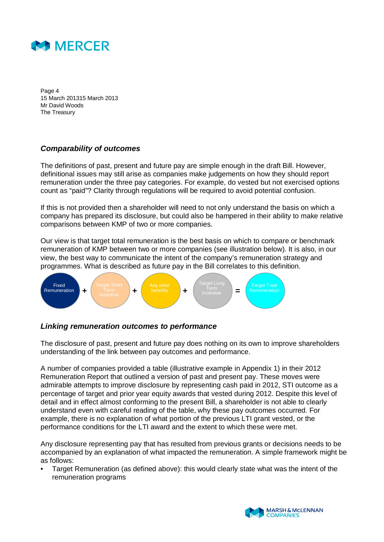

Page 4 15 March 201315 March 2013 Mr David Woods The Treasury

#### *Comparability of outcomes*

The definitions of past, present and future pay are simple enough in the draft Bill. However, definitional issues may still arise as companies make judgements on how they should report remuneration under the three pay categories. For example, do vested but not exercised options count as "paid"? Clarity through regulations will be required to avoid potential confusion.

If this is not provided then a shareholder will need to not only understand the basis on which a company has prepared its disclosure, but could also be hampered in their ability to make relative comparisons between KMP of two or more companies.

Our view is that target total remuneration is the best basis on which to compare or benchmark remuneration of KMP between two or more companies (see illustration below). It is also, in our view, the best way to communicate the intent of the company's remuneration strategy and programmes. What is described as future pay in the Bill correlates to this definition.



#### *Linking remuneration outcomes to performance*

The disclosure of past, present and future pay does nothing on its own to improve shareholders understanding of the link between pay outcomes and performance.

A number of companies provided a table (illustrative example in Appendix 1) in their 2012 Remuneration Report that outlined a version of past and present pay. These moves were admirable attempts to improve disclosure by representing cash paid in 2012, STI outcome as a percentage of target and prior year equity awards that vested during 2012. Despite this level of detail and in effect almost conforming to the present Bill, a shareholder is not able to clearly understand even with careful reading of the table, why these pay outcomes occurred. For example, there is no explanation of what portion of the previous LTI grant vested, or the performance conditions for the LTI award and the extent to which these were met.

Any disclosure representing pay that has resulted from previous grants or decisions needs to be accompanied by an explanation of what impacted the remuneration. A simple framework might be as follows:

• Target Remuneration (as defined above): this would clearly state what was the intent of the remuneration programs

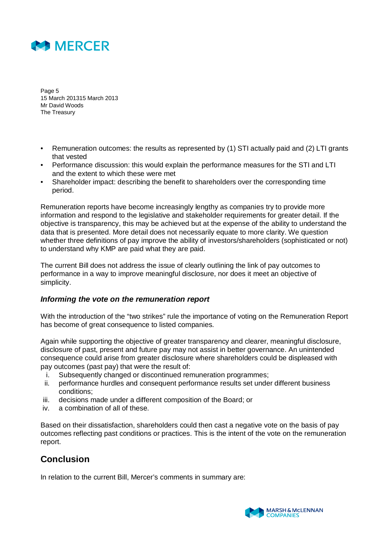

Page 5 15 March 201315 March 2013 Mr David Woods The Treasury

- Remuneration outcomes: the results as represented by (1) STI actually paid and (2) LTI grants that vested
- Performance discussion: this would explain the performance measures for the STI and LTI and the extent to which these were met
- Shareholder impact: describing the benefit to shareholders over the corresponding time period.

Remuneration reports have become increasingly lengthy as companies try to provide more information and respond to the legislative and stakeholder requirements for greater detail. If the objective is transparency, this may be achieved but at the expense of the ability to understand the data that is presented. More detail does not necessarily equate to more clarity. We question whether three definitions of pay improve the ability of investors/shareholders (sophisticated or not) to understand why KMP are paid what they are paid.

The current Bill does not address the issue of clearly outlining the link of pay outcomes to performance in a way to improve meaningful disclosure, nor does it meet an objective of simplicity.

#### *Informing the vote on the remuneration report*

With the introduction of the "two strikes" rule the importance of voting on the Remuneration Report has become of great consequence to listed companies.

Again while supporting the objective of greater transparency and clearer, meaningful disclosure, disclosure of past, present and future pay may not assist in better governance. An unintended consequence could arise from greater disclosure where shareholders could be displeased with pay outcomes (past pay) that were the result of:

- i. Subsequently changed or discontinued remuneration programmes;
- ii. performance hurdles and consequent performance results set under different business conditions;
- iii. decisions made under a different composition of the Board; or
- iv. a combination of all of these.

Based on their dissatisfaction, shareholders could then cast a negative vote on the basis of pay outcomes reflecting past conditions or practices. This is the intent of the vote on the remuneration report.

# **Conclusion**

In relation to the current Bill, Mercer's comments in summary are:

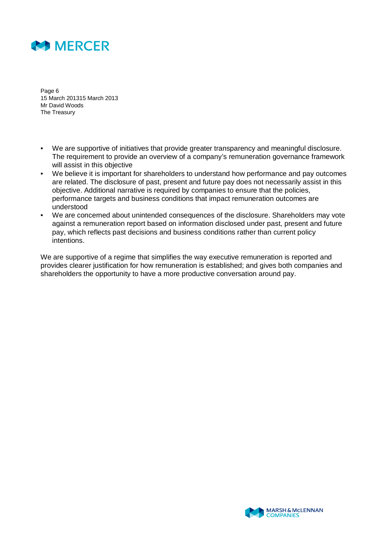

Page 6 15 March 201315 March 2013 Mr David Woods The Treasury

- We are supportive of initiatives that provide greater transparency and meaningful disclosure. The requirement to provide an overview of a company's remuneration governance framework will assist in this objective
- We believe it is important for shareholders to understand how performance and pay outcomes are related. The disclosure of past, present and future pay does not necessarily assist in this objective. Additional narrative is required by companies to ensure that the policies, performance targets and business conditions that impact remuneration outcomes are understood
- We are concerned about unintended consequences of the disclosure. Shareholders may vote against a remuneration report based on information disclosed under past, present and future pay, which reflects past decisions and business conditions rather than current policy intentions.

We are supportive of a regime that simplifies the way executive remuneration is reported and provides clearer justification for how remuneration is established; and gives both companies and shareholders the opportunity to have a more productive conversation around pay.

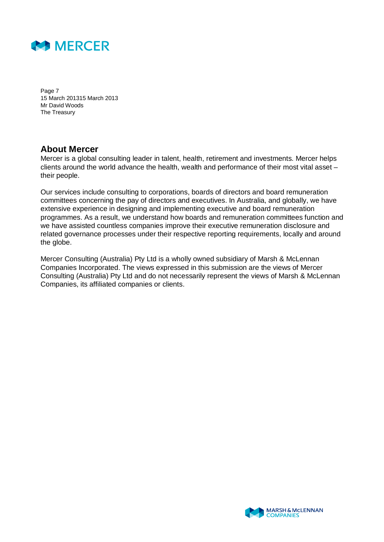

Page 7 15 March 201315 March 2013 Mr David Woods The Treasury

### **About Mercer**

Mercer is a global consulting leader in talent, health, retirement and investments. Mercer helps clients around the world advance the health, wealth and performance of their most vital asset – their people.

Our services include consulting to corporations, boards of directors and board remuneration committees concerning the pay of directors and executives. In Australia, and globally, we have extensive experience in designing and implementing executive and board remuneration programmes. As a result, we understand how boards and remuneration committees function and we have assisted countless companies improve their executive remuneration disclosure and related governance processes under their respective reporting requirements, locally and around the globe.

Mercer Consulting (Australia) Pty Ltd is a wholly owned subsidiary of Marsh & McLennan Companies Incorporated. The views expressed in this submission are the views of Mercer Consulting (Australia) Pty Ltd and do not necessarily represent the views of Marsh & McLennan Companies, its affiliated companies or clients.